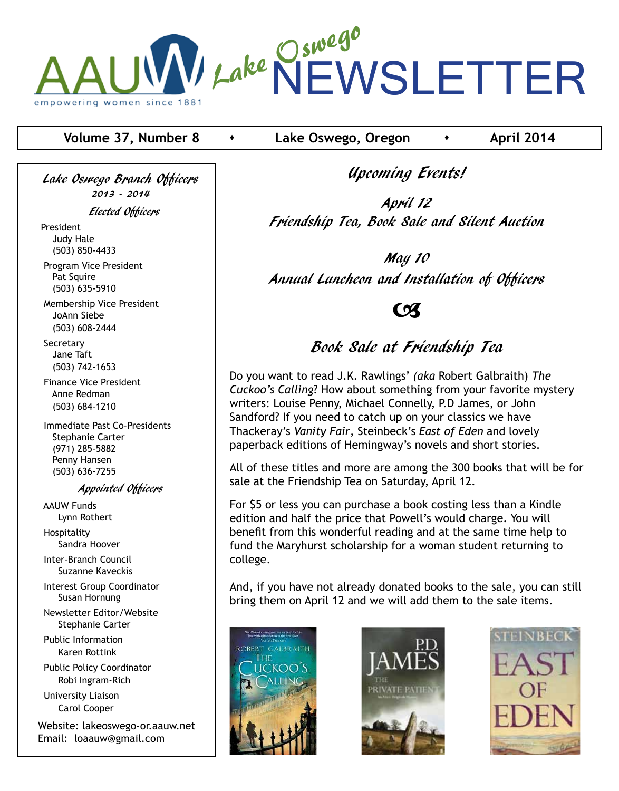

**Volume 37, Number 8 contract •** Lake Oswego, Oregon **· April 2014** 

Lake Oswego Branch Officers 2013 - 2014

Elected Officers

President Judy Hale (503) 850-4433

 Program Vice President Pat Squire (503) 635-5910

 Membership Vice President JoAnn Siebe (503) 608-2444

**Secretary**  Jane Taft (503) 742-1653

 Finance Vice President Anne Redman (503) 684-1210

 Immediate Past Co-Presidents Stephanie Carter (971) 285-5882 Penny Hansen (503) 636-7255

Appointed Officers

 AAUW Funds Lynn Rothert Hospitality

Sandra Hoover

 Inter-Branch Council Suzanne Kaveckis

 Interest Group Coordinator Susan Hornung

 Newsletter Editor/Website Stephanie Carter

 Public Information Karen Rottink

 Public Policy Coordinator Robi Ingram-Rich

 University Liaison Carol Cooper

Website: lakeoswego-or.aauw.net Email: loaauw@gmail.com

Upcoming Events!

April 12 Friendship Tea, Book Sale and Silent Auction

May 10 Annual Luncheon and Installation of Officers

 $\boldsymbol{\alpha}$ 

# Book Sale at Friendship Tea

Do you want to read J.K. Rawlings' *(aka* Robert Galbraith) *The Cuckoo's Calling*? How about something from your favorite mystery writers: Louise Penny, Michael Connelly, P.D James, or John Sandford? If you need to catch up on your classics we have Thackeray's *Vanity Fair*, Steinbeck's *East of Eden* and lovely paperback editions of Hemingway's novels and short stories.

All of these titles and more are among the 300 books that will be for sale at the Friendship Tea on Saturday, April 12.

For \$5 or less you can purchase a book costing less than a Kindle edition and half the price that Powell's would charge. You will benefit from this wonderful reading and at the same time help to fund the Maryhurst scholarship for a woman student returning to college.

And, if you have not already donated books to the sale, you can still bring them on April 12 and we will add them to the sale items.





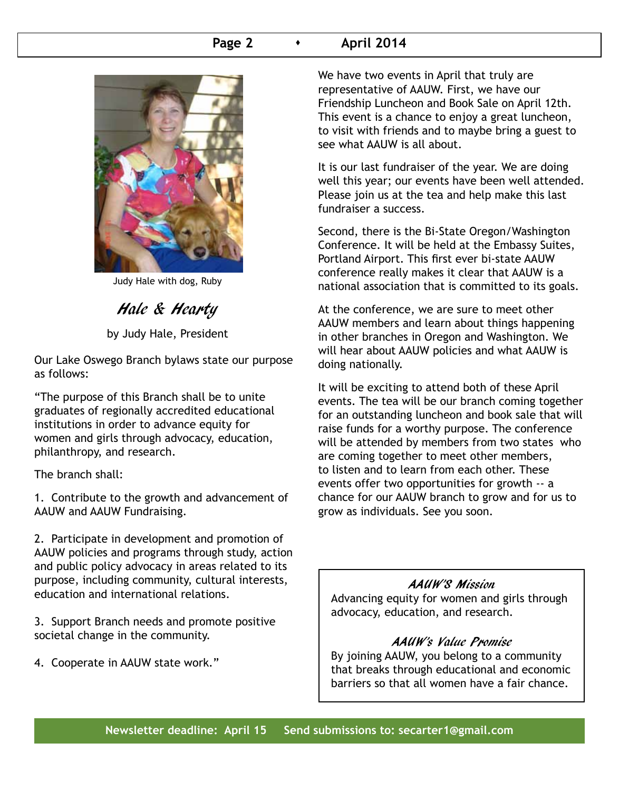### **Page 2 c c April 2014**



Judy Hale with dog, Ruby

Hale & Hearty

by Judy Hale, President

Our Lake Oswego Branch bylaws state our purpose as follows:

"The purpose of this Branch shall be to unite graduates of regionally accredited educational institutions in order to advance equity for women and girls through advocacy, education, philanthropy, and research.

The branch shall:

1. Contribute to the growth and advancement of AAUW and AAUW Fundraising.

2. Participate in development and promotion of AAUW policies and programs through study, action and public policy advocacy in areas related to its purpose, including community, cultural interests, education and international relations.

3. Support Branch needs and promote positive societal change in the community.

4. Cooperate in AAUW state work."

We have two events in April that truly are representative of AAUW. First, we have our Friendship Luncheon and Book Sale on April 12th. This event is a chance to enjoy a great luncheon, to visit with friends and to maybe bring a guest to see what AAUW is all about.

It is our last fundraiser of the year. We are doing well this year; our events have been well attended. Please join us at the tea and help make this last fundraiser a success.

Second, there is the Bi-State Oregon/Washington Conference. It will be held at the Embassy Suites, Portland Airport. This first ever bi-state AAUW conference really makes it clear that AAUW is a national association that is committed to its goals.

At the conference, we are sure to meet other AAUW members and learn about things happening in other branches in Oregon and Washington. We will hear about AAUW policies and what AAUW is doing nationally.

It will be exciting to attend both of these April events. The tea will be our branch coming together for an outstanding luncheon and book sale that will raise funds for a worthy purpose. The conference will be attended by members from two states who are coming together to meet other members, to listen and to learn from each other. These events offer two opportunities for growth -- a chance for our AAUW branch to grow and for us to grow as individuals. See you soon.

#### AAUW'S Mission

Advancing equity for women and girls through advocacy, education, and research.

#### AAUW's Value Promise

By joining AAUW, you belong to a community that breaks through educational and economic barriers so that all women have a fair chance.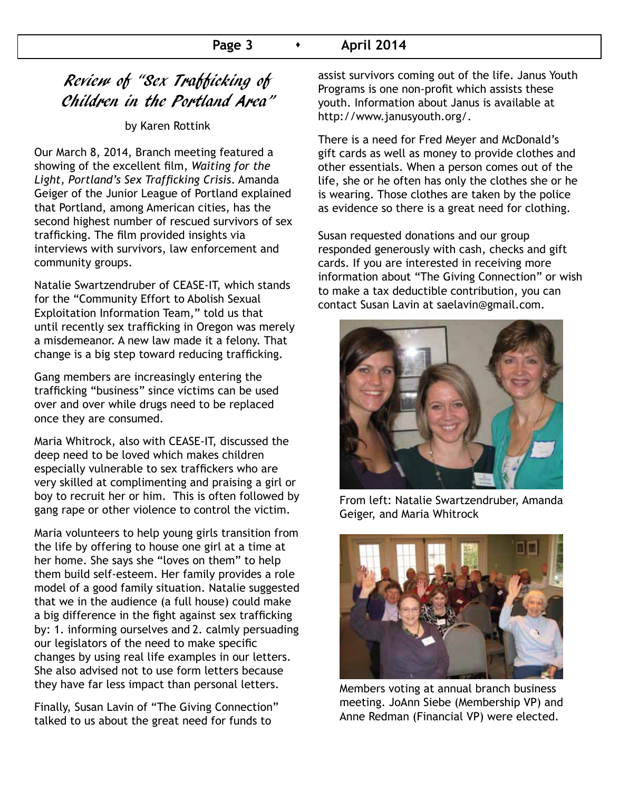### **Page 3 • April 2014**

## Review of "Sex Trafficking of Children in the Portland Area"

by Karen Rottink

Our March 8, 2014, Branch meeting featured a showing of the excellent film, *Waiting for the Light, Portland's Sex Trafficking Crisis*. Amanda Geiger of the Junior League of Portland explained that Portland, among American cities, has the second highest number of rescued survivors of sex trafficking. The film provided insights via interviews with survivors, law enforcement and community groups.

Natalie Swartzendruber of CEASE-IT, which stands for the "Community Effort to Abolish Sexual Exploitation Information Team," told us that until recently sex trafficking in Oregon was merely a misdemeanor. A new law made it a felony. That change is a big step toward reducing trafficking.

Gang members are increasingly entering the trafficking "business" since victims can be used over and over while drugs need to be replaced once they are consumed.

Maria Whitrock, also with CEASE-IT, discussed the deep need to be loved which makes children especially vulnerable to sex traffickers who are very skilled at complimenting and praising a girl or boy to recruit her or him. This is often followed by gang rape or other violence to control the victim.

Maria volunteers to help young girls transition from the life by offering to house one girl at a time at her home. She says she "loves on them" to help them build self-esteem. Her family provides a role model of a good family situation. Natalie suggested that we in the audience (a full house) could make a big difference in the fight against sex trafficking by: 1. informing ourselves and 2. calmly persuading our legislators of the need to make specific changes by using real life examples in our letters. She also advised not to use form letters because they have far less impact than personal letters.

Finally, Susan Lavin of "The Giving Connection" talked to us about the great need for funds to

assist survivors coming out of the life. Janus Youth Programs is one non-profit which assists these youth. Information about Janus is available at http://www.janusyouth.org/.

There is a need for Fred Meyer and McDonald's gift cards as well as money to provide clothes and other essentials. When a person comes out of the life, she or he often has only the clothes she or he is wearing. Those clothes are taken by the police as evidence so there is a great need for clothing.

Susan requested donations and our group responded generously with cash, checks and gift cards. If you are interested in receiving more information about "The Giving Connection" or wish to make a tax deductible contribution, you can contact Susan Lavin at saelavin@gmail.com.



From left: Natalie Swartzendruber, Amanda Geiger, and Maria Whitrock



Members voting at annual branch business meeting. JoAnn Siebe (Membership VP) and Anne Redman (Financial VP) were elected.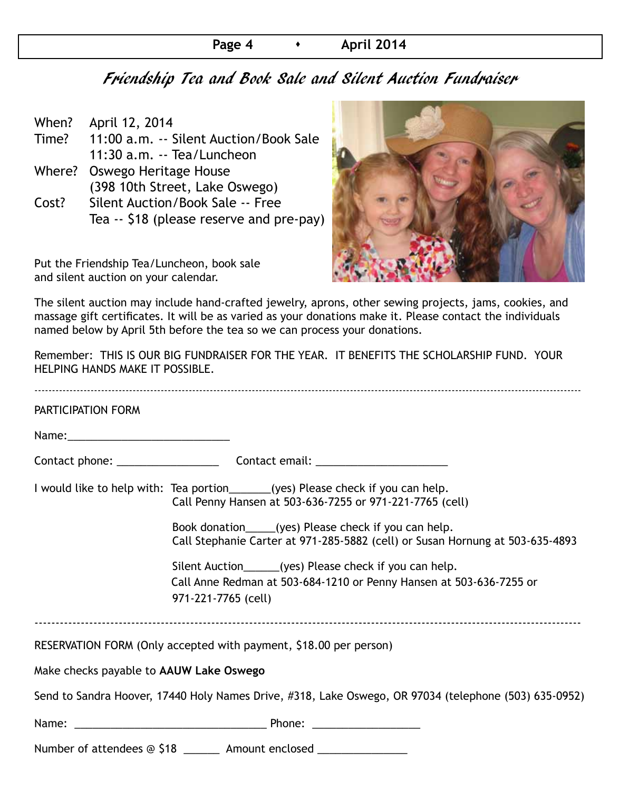## **Page 4 April 2014**

## Friendship Tea and Book Sale and Silent Auction Fundraiser

| When? | April 12, 2014                           |
|-------|------------------------------------------|
| Time? | 11:00 a.m. -- Silent Auction/Book Sale   |
|       | 11:30 a.m. -- Tea/Luncheon               |
|       | Where? Oswego Heritage House             |
|       | (398 10th Street, Lake Oswego)           |
| Cost? | Silent Auction/Book Sale -- Free         |
|       | Tea -- \$18 (please reserve and pre-pay) |
|       |                                          |

Put the Friendship Tea/Luncheon, book sale and silent auction on your calendar.



The silent auction may include hand-crafted jewelry, aprons, other sewing projects, jams, cookies, and massage gift certificates. It will be as varied as your donations make it. Please contact the individuals named below by April 5th before the tea so we can process your donations.

Remember: THIS IS OUR BIG FUNDRAISER FOR THE YEAR. IT BENEFITS THE SCHOLARSHIP FUND. YOUR HELPING HANDS MAKE IT POSSIBLE.

| PARTICIPATION FORM                      |                                                                                                                                                       |  |  |  |  |
|-----------------------------------------|-------------------------------------------------------------------------------------------------------------------------------------------------------|--|--|--|--|
|                                         |                                                                                                                                                       |  |  |  |  |
|                                         |                                                                                                                                                       |  |  |  |  |
|                                         | I would like to help with: Tea portion______(yes) Please check if you can help.<br>Call Penny Hansen at 503-636-7255 or 971-221-7765 (cell)           |  |  |  |  |
|                                         | Book donation_____(yes) Please check if you can help.<br>Call Stephanie Carter at 971-285-5882 (cell) or Susan Hornung at 503-635-4893                |  |  |  |  |
|                                         | Silent Auction______(yes) Please check if you can help.<br>Call Anne Redman at 503-684-1210 or Penny Hansen at 503-636-7255 or<br>971-221-7765 (cell) |  |  |  |  |
|                                         | RESERVATION FORM (Only accepted with payment, \$18.00 per person)                                                                                     |  |  |  |  |
| Make checks payable to AAUW Lake Oswego |                                                                                                                                                       |  |  |  |  |
|                                         | Send to Sandra Hoover, 17440 Holy Names Drive, #318, Lake Oswego, OR 97034 (telephone (503) 635-0952)                                                 |  |  |  |  |
|                                         |                                                                                                                                                       |  |  |  |  |
|                                         | Number of attendees @ \$18 _______ Amount enclosed ________________                                                                                   |  |  |  |  |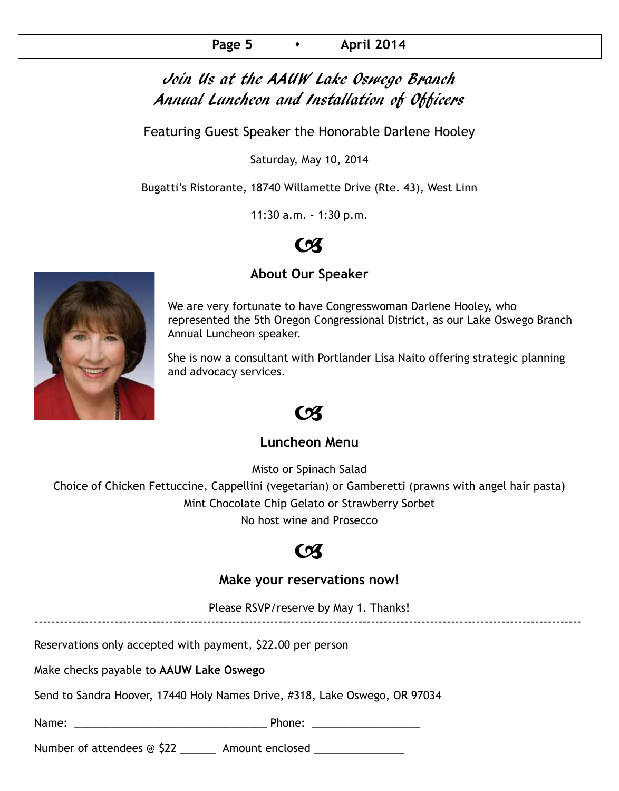## Join Us at the AAUW Lake Oswego Branch Annual Luncheon and Installation of Officers

Featuring Guest Speaker the Honorable Darlene Hooley

Saturday, May 10, 2014

Bugatti's Ristorante, 18740 Willamette Drive (Rte. 43), West Linn

11:30 a.m. - 1:30 p.m.

# $\alpha$

## **About Our Speaker**

We are very fortunate to have Congresswoman Darlene Hooley, who represented the 5th Oregon Congressional District, as our Lake Oswego Branch Annual Luncheon speaker.

She is now a consultant with Portlander Lisa Naito offering strategic planning and advocacy services.

## $\boldsymbol{\alpha}$

### **Luncheon Menu**

Misto or Spinach Salad

Choice of Chicken Fettuccine, Cappellini (vegetarian) or Gamberetti (prawns with angel hair pasta) Mint Chocolate Chip Gelato or Strawberry Sorbet No host wine and Prosecco

## $\mathcal{C}$

## **Make your reservations now!**

Please RSVP/reserve by May 1. Thanks! ----------------------------------------------------------------------------------------------------------------------------------

Reservations only accepted with payment, \$22.00 per person

Make checks payable to **AAUW Lake Oswego**

Send to Sandra Hoover, 17440 Holy Names Drive, #318, Lake Oswego, OR 97034

Name:  $\blacksquare$ 

Number of attendees @ \$22 \_\_\_\_\_\_\_ Amount enclosed \_\_\_\_\_\_\_\_\_\_\_\_\_\_\_

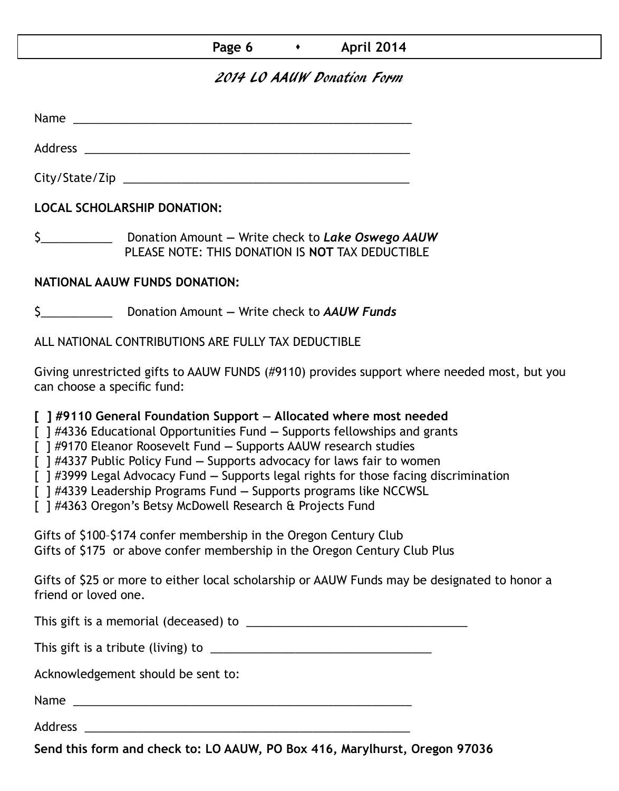### **Page 6**  $\longrightarrow$  **April 2014**

## 2014 LO AAUW Donation Form

Name was also as  $\sim$  100  $\mu$  and  $\mu$  and  $\mu$  and  $\mu$  and  $\mu$  and  $\mu$  and  $\mu$ 

City/State/Zip 2000 and 2000 and 2000 and 2000 and 2000 and 2000 and 2000 and 2000 and 2000 and 200

Address \_\_\_\_\_\_\_\_\_\_\_\_\_\_\_\_\_\_\_\_\_\_\_\_\_\_\_\_\_\_\_\_\_\_\_\_\_\_\_\_\_\_\_\_\_\_\_\_\_\_

**LOCAL SCHOLARSHIP DONATION:**

\$\_\_\_\_\_\_\_\_\_\_\_ Donation Amount **—** Write check to *Lake Oswego AAUW* PLEASE NOTE: THIS DONATION IS **NOT** TAX DEDUCTIBLE

### **NATIONAL AAUW FUNDS DONATION:**

\$\_\_\_\_\_\_\_\_\_\_\_ Donation Amount **—** Write check to *AAUW Funds*

ALL NATIONAL CONTRIBUTIONS ARE FULLY TAX DEDUCTIBLE

Giving unrestricted gifts to AAUW FUNDS (#9110) provides support where needed most, but you can choose a specific fund:

**[ ] #9110 General Foundation Support — Allocated where most needed** 

[ ] #4336 Educational Opportunities Fund **—** Supports fellowships and grants

[ ] #9170 Eleanor Roosevelt Fund **—** Supports AAUW research studies

[ ] #4337 Public Policy Fund **—** Supports advocacy for laws fair to women

[ ] #3999 Legal Advocacy Fund **—** Supports legal rights for those facing discrimination

[ ] #4339 Leadership Programs Fund **—** Supports programs like NCCWSL

[ ] #4363 Oregon's Betsy McDowell Research & Projects Fund

Gifts of \$100–\$174 confer membership in the Oregon Century Club Gifts of \$175 or above confer membership in the Oregon Century Club Plus

Gifts of \$25 or more to either local scholarship or AAUW Funds may be designated to honor a friend or loved one.

This gift is a memorial (deceased) to \_\_\_\_\_\_\_\_\_\_\_\_\_\_\_\_\_\_\_\_\_\_\_\_\_\_\_\_\_\_\_\_\_\_

This gift is a tribute (living) to \_\_\_\_\_\_\_\_\_\_\_\_\_\_\_\_\_\_\_\_\_\_\_\_\_\_\_\_\_\_\_\_\_\_

Acknowledgement should be sent to:

Name \_\_\_\_\_\_\_\_\_\_\_\_\_\_\_\_\_\_\_\_\_\_\_\_\_\_\_\_\_\_\_\_\_\_\_\_\_\_\_\_\_\_\_\_\_\_\_\_\_\_\_\_

Address \_\_\_\_\_\_\_\_\_\_\_\_\_\_\_\_\_\_\_\_\_\_\_\_\_\_\_\_\_\_\_\_\_\_\_\_\_\_\_\_\_\_\_\_\_\_\_\_\_\_

**Send this form and check to: LO AAUW, PO Box 416, Marylhurst, Oregon 97036**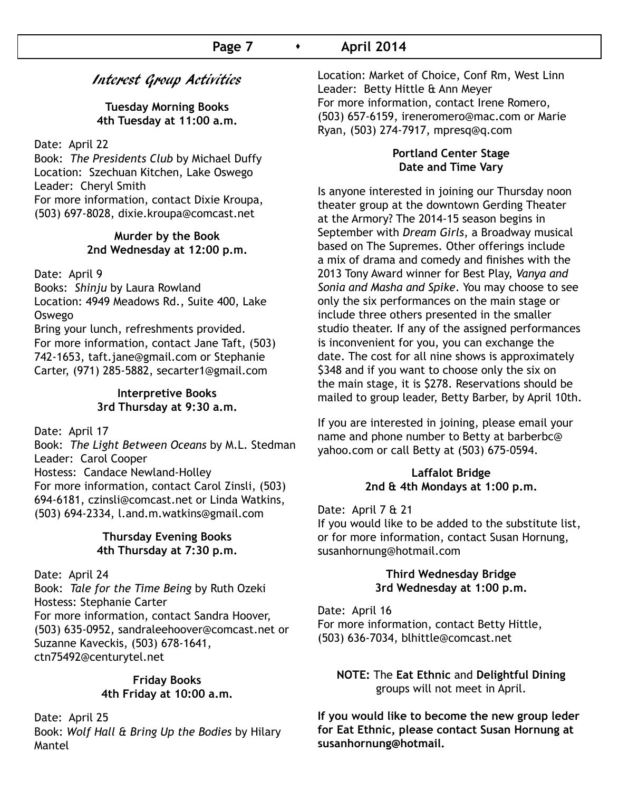## Interest Group Activities

**Tuesday Morning Books 4th Tuesday at 11:00 a.m.**

Date: April 22

Book: *The Presidents Club* by Michael Duffy Location: Szechuan Kitchen, Lake Oswego Leader: Cheryl Smith For more information, contact Dixie Kroupa, (503) 697-8028, dixie.kroupa@comcast.net

> **Murder by the Book 2nd Wednesday at 12:00 p.m.**

Date: April 9

Books: *Shinju* by Laura Rowland

Location: 4949 Meadows Rd., Suite 400, Lake Oswego

Bring your lunch, refreshments provided. For more information, contact Jane Taft, (503) 742-1653, taft.jane@gmail.com or Stephanie Carter, (971) 285-5882, secarter1@gmail.com

#### **Interpretive Books 3rd Thursday at 9:30 a.m.**

Date: April 17

Book: *The Light Between Oceans* by M.L. Stedman Leader: Carol Cooper Hostess: Candace Newland-Holley For more information, contact Carol Zinsli, (503) 694-6181, czinsli@comcast.net or Linda Watkins, (503) 694-2334, l.and.m.watkins@gmail.com

#### **Thursday Evening Books 4th Thursday at 7:30 p.m.**

Date: April 24 Book: *Tale for the Time Being* by Ruth Ozeki Hostess: Stephanie Carter For more information, contact Sandra Hoover, (503) 635-0952, sandraleehoover@comcast.net or Suzanne Kaveckis, (503) 678-1641, ctn75492@centurytel.net

#### **Friday Books 4th Friday at 10:00 a.m.**

Date: April 25 Book: *Wolf Hall & Bring Up the Bodies* by Hilary Mantel

Location: Market of Choice, Conf Rm, West Linn Leader: Betty Hittle & Ann Meyer For more information, contact Irene Romero, (503) 657-6159, ireneromero@mac.com or Marie Ryan, (503) 274-7917, mpresq@q.com

#### **Portland Center Stage Date and Time Vary**

Is anyone interested in joining our Thursday noon theater group at the downtown Gerding Theater at the Armory? The 2014-15 season begins in September with *Dream Girls*, a Broadway musical based on The Supremes. Other offerings include a mix of drama and comedy and finishes with the 2013 Tony Award winner for Best Play, *Vanya and Sonia and Masha and Spike*. You may choose to see only the six performances on the main stage or include three others presented in the smaller studio theater. If any of the assigned performances is inconvenient for you, you can exchange the date. The cost for all nine shows is approximately \$348 and if you want to choose only the six on the main stage, it is \$278. Reservations should be mailed to group leader, Betty Barber, by April 10th.

If you are interested in joining, please email your name and phone number to Betty at barberbc@ yahoo.com or call Betty at (503) 675-0594.

#### **Laffalot Bridge 2nd & 4th Mondays at 1:00 p.m.**

Date: April 7 & 21

If you would like to be added to the substitute list, or for more information, contact Susan Hornung, susanhornung@hotmail.com

#### **Third Wednesday Bridge 3rd Wednesday at 1:00 p.m.**

Date: April 16 For more information, contact Betty Hittle, (503) 636-7034, blhittle@comcast.net

**NOTE:** The **Eat Ethnic** and **Delightful Dining**  groups will not meet in April.

**If you would like to become the new group leder for Eat Ethnic, please contact Susan Hornung at susanhornung@hotmail.**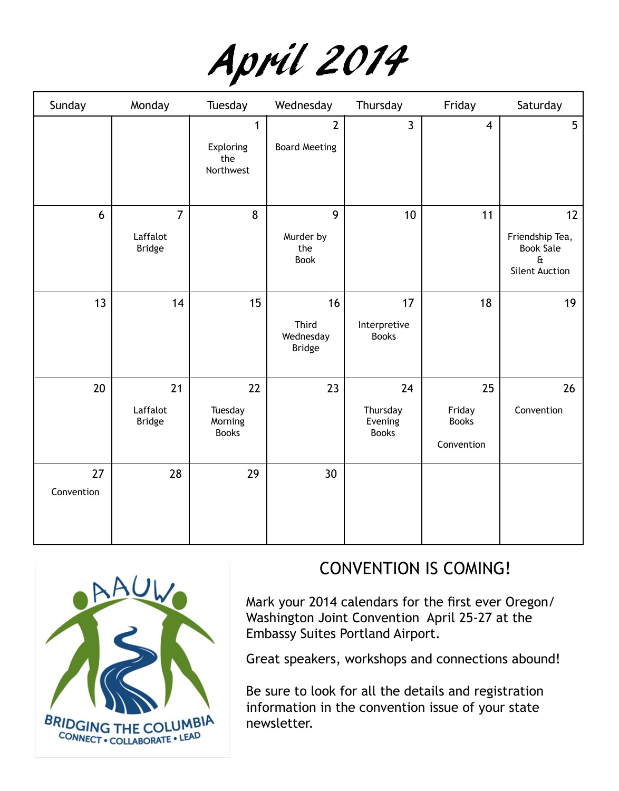

| Sunday           | Monday                                      | Tuesday                                       | Wednesday                                 | Thursday                                  | Friday                                     | Saturday                                                                           |
|------------------|---------------------------------------------|-----------------------------------------------|-------------------------------------------|-------------------------------------------|--------------------------------------------|------------------------------------------------------------------------------------|
|                  |                                             | $\mathbf{1}$<br>Exploring<br>the<br>Northwest | $\overline{2}$<br><b>Board Meeting</b>    | $\mathbf{3}$                              | $\overline{\mathbf{4}}$                    | 5                                                                                  |
| 6                | $\overline{7}$<br>Laffalot<br><b>Bridge</b> | 8                                             | 9<br>Murder by<br>the<br><b>Book</b>      | 10                                        | 11                                         | 12<br>Friendship Tea,<br><b>Book Sale</b><br>$\mathbf{a}$<br><b>Silent Auction</b> |
| 13               | 14                                          | 15                                            | 16<br>Third<br>Wednesday<br><b>Bridge</b> | 17<br>Interpretive<br><b>Books</b>        | 18                                         | 19                                                                                 |
| 20               | 21<br>Laffalot<br><b>Bridge</b>             | 22<br>Tuesday<br>Morning<br><b>Books</b>      | 23                                        | 24<br>Thursday<br>Evening<br><b>Books</b> | 25<br>Friday<br><b>Books</b><br>Convention | 26<br>Convention                                                                   |
| 27<br>Convention | 28                                          | 29                                            | 30                                        |                                           |                                            |                                                                                    |



# CONVENTION IS COMING!

Mark your 2014 calendars for the first ever Oregon/ Washington Joint Convention April 25-27 at the Embassy Suites Portland Airport.

Great speakers, workshops and connections abound!

Be sure to look for all the details and registration information in the convention issue of your state newsletter.